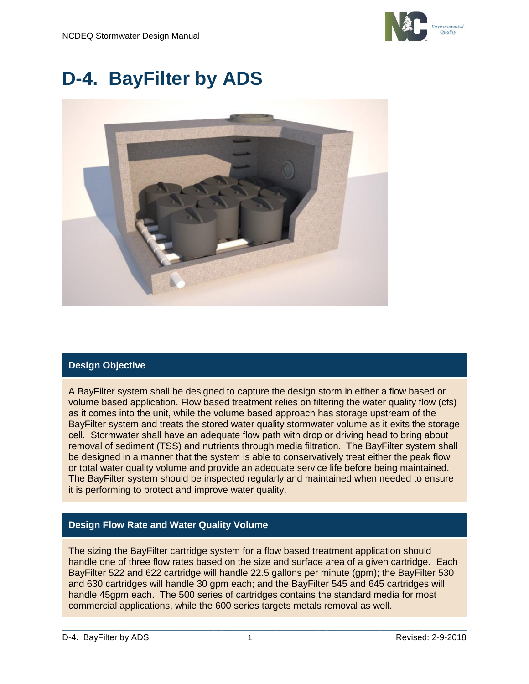

# **D-4. BayFilter by ADS**



### **Design Objective**

A BayFilter system shall be designed to capture the design storm in either a flow based or volume based application. Flow based treatment relies on filtering the water quality flow (cfs) as it comes into the unit, while the volume based approach has storage upstream of the BayFilter system and treats the stored water quality stormwater volume as it exits the storage cell. Stormwater shall have an adequate flow path with drop or driving head to bring about removal of sediment (TSS) and nutrients through media filtration. The BayFilter system shall be designed in a manner that the system is able to conservatively treat either the peak flow or total water quality volume and provide an adequate service life before being maintained. The BayFilter system should be inspected regularly and maintained when needed to ensure it is performing to protect and improve water quality.

#### **Design Flow Rate and Water Quality Volume**

The sizing the BayFilter cartridge system for a flow based treatment application should handle one of three flow rates based on the size and surface area of a given cartridge. Each BayFilter 522 and 622 cartridge will handle 22.5 gallons per minute (gpm); the BayFilter 530 and 630 cartridges will handle 30 gpm each; and the BayFilter 545 and 645 cartridges will handle 45gpm each. The 500 series of cartridges contains the standard media for most commercial applications, while the 600 series targets metals removal as well.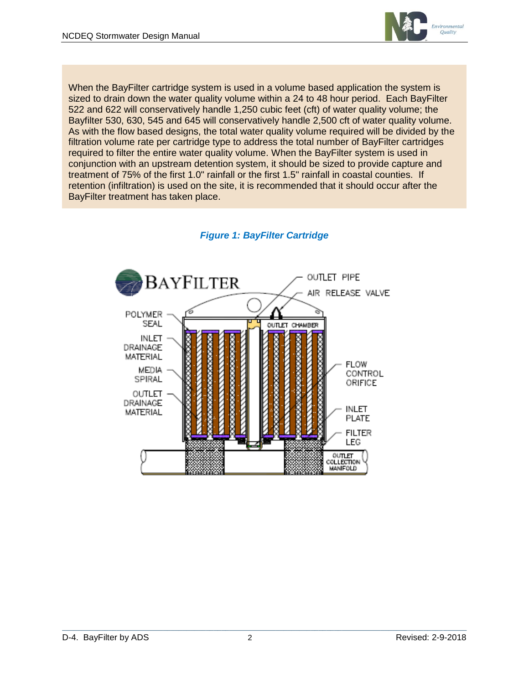

When the BayFilter cartridge system is used in a volume based application the system is sized to drain down the water quality volume within a 24 to 48 hour period. Each BayFilter 522 and 622 will conservatively handle 1,250 cubic feet (cft) of water quality volume; the Bayfilter 530, 630, 545 and 645 will conservatively handle 2,500 cft of water quality volume. As with the flow based designs, the total water quality volume required will be divided by the filtration volume rate per cartridge type to address the total number of BayFilter cartridges required to filter the entire water quality volume. When the BayFilter system is used in conjunction with an upstream detention system, it should be sized to provide capture and treatment of 75% of the first 1.0" rainfall or the first 1.5" rainfall in coastal counties. If retention (infiltration) is used on the site, it is recommended that it should occur after the BayFilter treatment has taken place.



## *Figure 1: BayFilter Cartridge*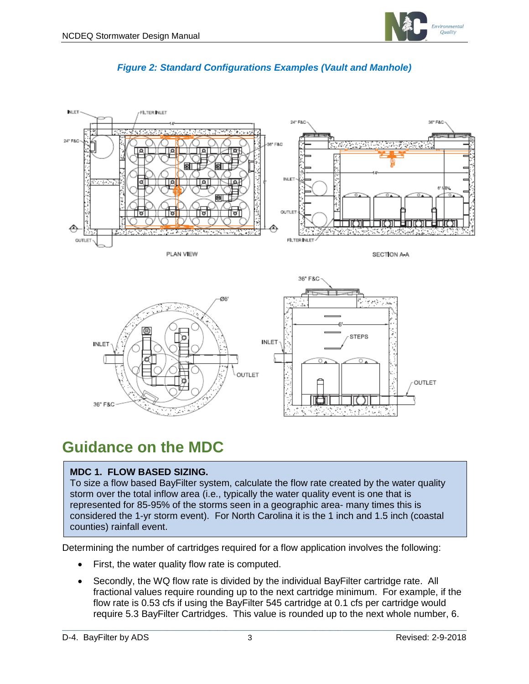



#### *Figure 2: Standard Configurations Examples (Vault and Manhole)*

# **Guidance on the MDC**

#### **MDC 1. FLOW BASED SIZING.**

To size a flow based BayFilter system, calculate the flow rate created by the water quality storm over the total inflow area (i.e., typically the water quality event is one that is represented for 85-95% of the storms seen in a geographic area- many times this is considered the 1-yr storm event). For North Carolina it is the 1 inch and 1.5 inch (coastal counties) rainfall event.

Determining the number of cartridges required for a flow application involves the following:

- First, the water quality flow rate is computed.
- Secondly, the WQ flow rate is divided by the individual BayFilter cartridge rate. All fractional values require rounding up to the next cartridge minimum. For example, if the flow rate is 0.53 cfs if using the BayFilter 545 cartridge at 0.1 cfs per cartridge would require 5.3 BayFilter Cartridges. This value is rounded up to the next whole number, 6.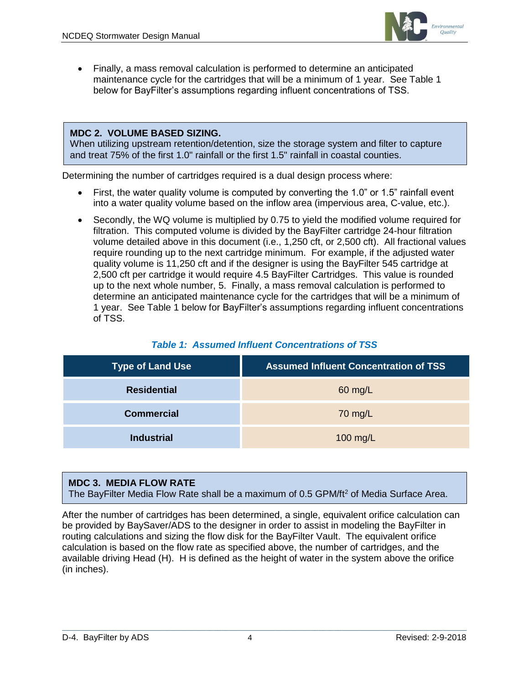

• Finally, a mass removal calculation is performed to determine an anticipated maintenance cycle for the cartridges that will be a minimum of 1 year. See Table 1 below for BayFilter's assumptions regarding influent concentrations of TSS.

#### **MDC 2. VOLUME BASED SIZING.**

When utilizing upstream retention/detention, size the storage system and filter to capture and treat 75% of the first 1.0" rainfall or the first 1.5" rainfall in coastal counties.

Determining the number of cartridges required is a dual design process where:

- First, the water quality volume is computed by converting the 1.0" or 1.5" rainfall event into a water quality volume based on the inflow area (impervious area, C-value, etc.).
- Secondly, the WQ volume is multiplied by 0.75 to yield the modified volume required for filtration. This computed volume is divided by the BayFilter cartridge 24-hour filtration volume detailed above in this document (i.e., 1,250 cft, or 2,500 cft). All fractional values require rounding up to the next cartridge minimum. For example, if the adjusted water quality volume is 11,250 cft and if the designer is using the BayFilter 545 cartridge at 2,500 cft per cartridge it would require 4.5 BayFilter Cartridges. This value is rounded up to the next whole number, 5. Finally, a mass removal calculation is performed to determine an anticipated maintenance cycle for the cartridges that will be a minimum of 1 year. See Table 1 below for BayFilter's assumptions regarding influent concentrations of TSS.

| <b>Type of Land Use</b> | <b>Assumed Influent Concentration of TSS</b> |
|-------------------------|----------------------------------------------|
| <b>Residential</b>      | 60 mg/L                                      |
| <b>Commercial</b>       | 70 mg/L                                      |
| <b>Industrial</b>       | 100 mg/L                                     |

#### **MDC 3. MEDIA FLOW RATE**

The BayFilter Media Flow Rate shall be a maximum of 0.5 GPM/ft<sup>2</sup> of Media Surface Area.

After the number of cartridges has been determined, a single, equivalent orifice calculation can be provided by BaySaver/ADS to the designer in order to assist in modeling the BayFilter in routing calculations and sizing the flow disk for the BayFilter Vault. The equivalent orifice calculation is based on the flow rate as specified above, the number of cartridges, and the available driving Head (H). H is defined as the height of water in the system above the orifice (in inches).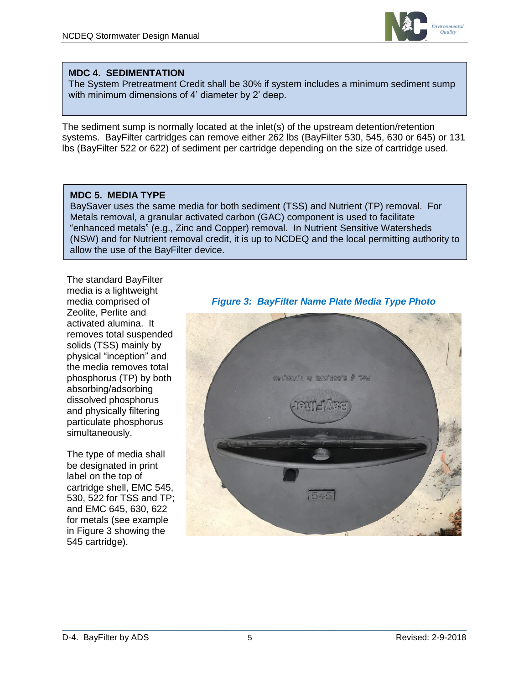

#### **MDC 4. SEDIMENTATION**

The System Pretreatment Credit shall be 30% if system includes a minimum sediment sump with minimum dimensions of 4' diameter by 2' deep.

The sediment sump is normally located at the inlet(s) of the upstream detention/retention systems. BayFilter cartridges can remove either 262 lbs (BayFilter 530, 545, 630 or 645) or 131 lbs (BayFilter 522 or 622) of sediment per cartridge depending on the size of cartridge used.

#### **MDC 5. MEDIA TYPE**

BaySaver uses the same media for both sediment (TSS) and Nutrient (TP) removal. For Metals removal, a granular activated carbon (GAC) component is used to facilitate "enhanced metals" (e.g., Zinc and Copper) removal. In Nutrient Sensitive Watersheds (NSW) and for Nutrient removal credit, it is up to NCDEQ and the local permitting authority to allow the use of the BayFilter device.

The standard BayFilter media is a lightweight media comprised of Zeolite, Perlite and activated alumina. It removes total suspended solids (TSS) mainly by physical "inception" and the media removes total phosphorus (TP) by both absorbing/adsorbing dissolved phosphorus and physically filtering particulate phosphorus simultaneously.

The type of media shall be designated in print label on the top of cartridge shell, EMC 545, 530, 522 for TSS and TP; and EMC 645, 630, 622 for metals (see example in Figure 3 showing the 545 cartridge).



#### *Figure 3: BayFilter Name Plate Media Type Photo*